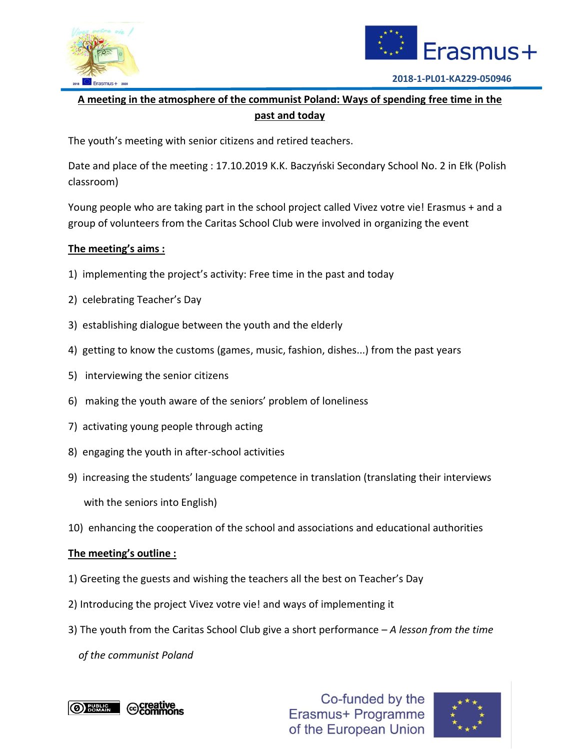



## **A meeting in the atmosphere of the communist Poland: Ways of spending free time in the past and today**

The youth's meeting with senior citizens and retired teachers.

Date and place of the meeting : 17.10.2019 K.K. Baczyński Secondary School No. 2 in Ełk (Polish classroom)

Young people who are taking part in the school project called Vivez votre vie! Erasmus + and a group of volunteers from the Caritas School Club were involved in organizing the event

## **The meeting's aims :**

- 1) implementing the project's activity: Free time in the past and today
- 2) celebrating Teacher's Day
- 3) establishing dialogue between the youth and the elderly
- 4) getting to know the customs (games, music, fashion, dishes...) from the past years
- 5) interviewing the senior citizens
- 6) making the youth aware of the seniors' problem of loneliness
- 7) activating young people through acting
- 8) engaging the youth in after-school activities
- 9) increasing the students' language competence in translation (translating their interviews with the seniors into English)
- 10) enhancing the cooperation of the school and associations and educational authorities

## **The meeting's outline :**

- 1) Greeting the guests and wishing the teachers all the best on Teacher's Day
- 2) Introducing the project Vivez votre vie! and ways of implementing it
- 3) The youth from the Caritas School Club give a short performance *A lesson from the time*

 *of the communist Poland*



Co-funded by the Erasmus+ Programme of the European Union